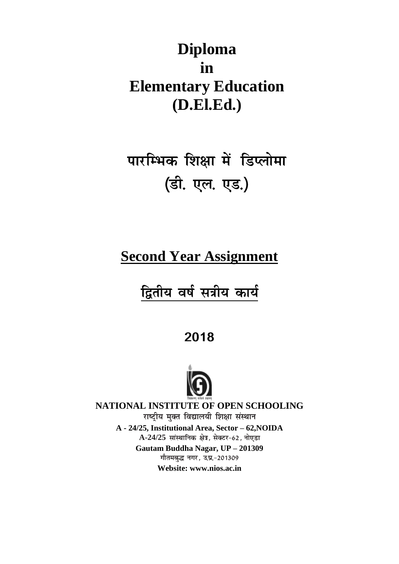## **Diploma in Elementary Education (D.El.Ed.)**

# पारम्भिक शिक्षा में डिप्लोमा (डी. एल. एड.)

## **Second Year Assignment**

## द्वितीय वर्ष सत्रीय कार्य

2018



**NATIONAL INSTITUTE OF OPEN SCHOOLING** राष्ट्रीय मुक्त विद्यालयी शिक्षा संस्थान **A - 24/25, Institutional Area, Sector – 62,NOIDA A-24/25 Gautam Buddha Nagar, UP – 201309** गौतमबद्ध नगर, उ.प्र.-201309

**Website: www.nios.ac.in**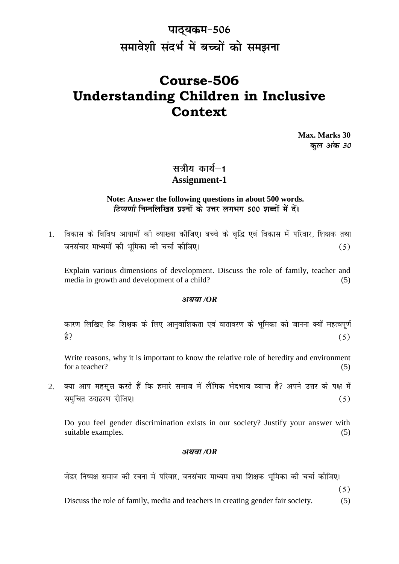### पाठ्यकम-506 समावेशी संदर्भ में बच्चों को समझना

### **Course-506 Understanding Children in Inclusive Context**

**Max. Marks 30** कल अंक 30

### सत्रीय कार्य—1 **Assignment-1**

#### **Note: Answer the following questions in about 500 words.** टिप्पणी निम्नलिखित प्रश्नों के उत्तर लगभग 500 शब्दों में दें।

1. विकास के विविध आयामों की व्याख्या कीजिए। बच्चे के वृद्धि एवं विकास में परिवार, शिक्षक तथा जनसंचार माध्यमों की भमिका की चर्चा कीजिए।  $(5)$ 

Explain various dimensions of development. Discuss the role of family, teacher and media in growth and development of a child? (5)

#### */OR*

कारण लिखिए कि शिक्षक के लिए आनुवांशिकता एवं वातावरण के भूमिका को जानना क्यों महत्वपूर्ण ੜੇ?  $(5)$ 

Write reasons, why it is important to know the relative role of heredity and environment for a teacher?  $(5)$ 

2. क्या आप महसूस करते हैं कि हमारे समाज में लैंगिक भेदभाव व्याप्त है? अपने उत्तर के पक्ष में समुचित उदाहरण दीजिए।  $(5)$ 

Do you feel gender discrimination exists in our society? Justify your answer with suitable examples. (5)

#### */OR*

जेंडर निष्पक्ष समाज की रचना में परिवार, जनसंचार माध्यम तथा शिक्षक भूमिका की चर्चा कोजिए।

 $(5)$ 

Discuss the role of family, media and teachers in creating gender fair society.  $(5)$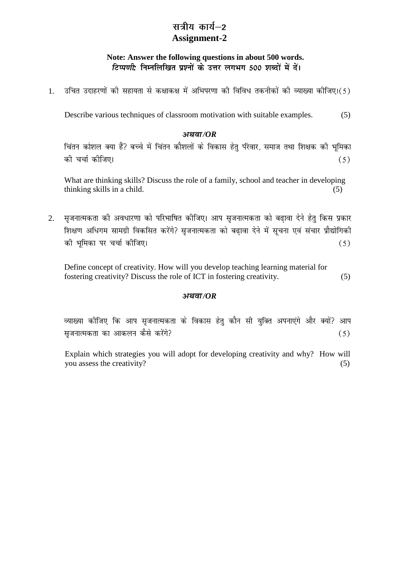### सत्रीय कार्य—2 **Assignment-2**

#### **Note: Answer the following questions in about 500 words.** *टिप्पणी*: निम्नलिखित प्रश्नों के उत्तर लगभग 500 शब्दों में दें।

उचित उदाहरणों की सहायता से कक्षाकक्ष में अभिपरणा की विविध तकनीकों की व्याख्या कीजिए।(5) 1.

Describe various techniques of classroom motivation with suitable examples. (5)

#### */OR*

चिंतन कौशल क्या हैं? बच्चे में चिंतन कौशलों के विकास हेतु परिवार, समाज तथा शिक्षक की भूमिका को चर्चा कोजिए।  $(5)$ 

What are thinking skills? Discuss the role of a family, school and teacher in developing  $\text{thinking skills in a child.}$  (5)

सुजनात्मकता की अवधारणा को परिभाषित कीजिए। आप सुजनात्मकता को बढावा देने हेतु किस प्रकार 2. शिक्षण अधिगम सामग्री विकसित करेंगे? सृजनात्मकता को बढावा देने में सूचना एवं संचार प्रौद्योगिकी की भमिका पर चर्चा कीजिए।  $(5)$ 

Define concept of creativity. How will you develop teaching learning material for fostering creativity? Discuss the role of ICT in fostering creativity. (5)

#### */OR*

व्याख्या कोजिए कि आप सृजनात्मकता के विकास हेतु कौन सी युक्ति अपनाएंगे और क्यों? आप सुजनात्मकता का आकलन कैसे करेंगे?  $(5)$ 

Explain which strategies you will adopt for developing creativity and why? How will you assess the creativity? (5)